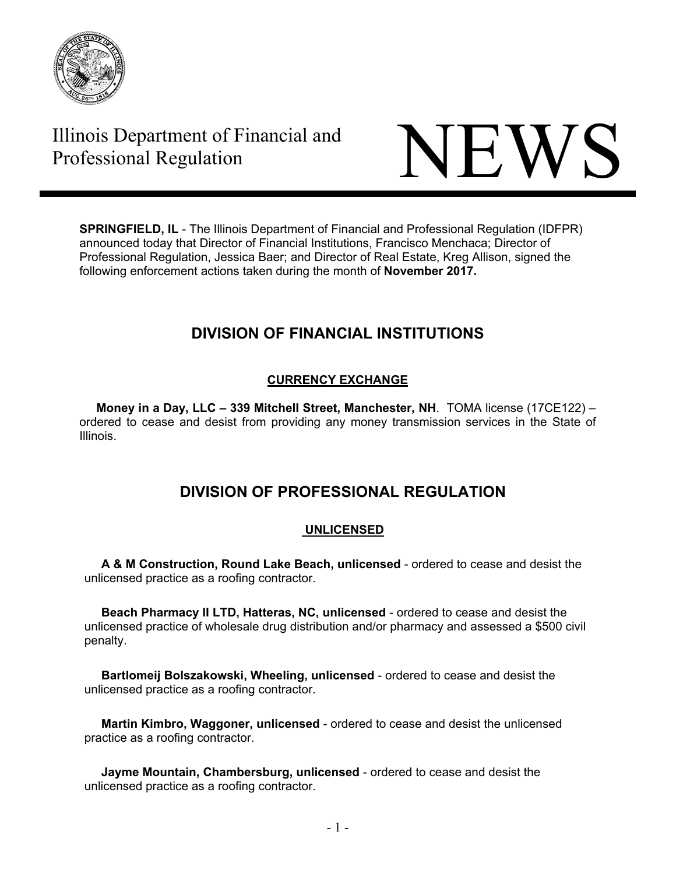

# Illinois Department of Financial and



**SPRINGFIELD, IL** - The Illinois Department of Financial and Professional Regulation (IDFPR) announced today that Director of Financial Institutions, Francisco Menchaca; Director of Professional Regulation, Jessica Baer; and Director of Real Estate, Kreg Allison, signed the following enforcement actions taken during the month of **November 2017.** 

# **DIVISION OF FINANCIAL INSTITUTIONS**

# **CURRENCY EXCHANGE**

 **Money in a Day, LLC – 339 Mitchell Street, Manchester, NH**. TOMA license (17CE122) – ordered to cease and desist from providing any money transmission services in the State of Illinois.

# **DIVISION OF PROFESSIONAL REGULATION**

## **UNLICENSED**

 **A & M Construction, Round Lake Beach, unlicensed** - ordered to cease and desist the unlicensed practice as a roofing contractor.

 **Beach Pharmacy II LTD, Hatteras, NC, unlicensed** - ordered to cease and desist the unlicensed practice of wholesale drug distribution and/or pharmacy and assessed a \$500 civil penalty.

 **Bartlomeij Bolszakowski, Wheeling, unlicensed** - ordered to cease and desist the unlicensed practice as a roofing contractor.

 **Martin Kimbro, Waggoner, unlicensed** - ordered to cease and desist the unlicensed practice as a roofing contractor.

 **Jayme Mountain, Chambersburg, unlicensed** - ordered to cease and desist the unlicensed practice as a roofing contractor.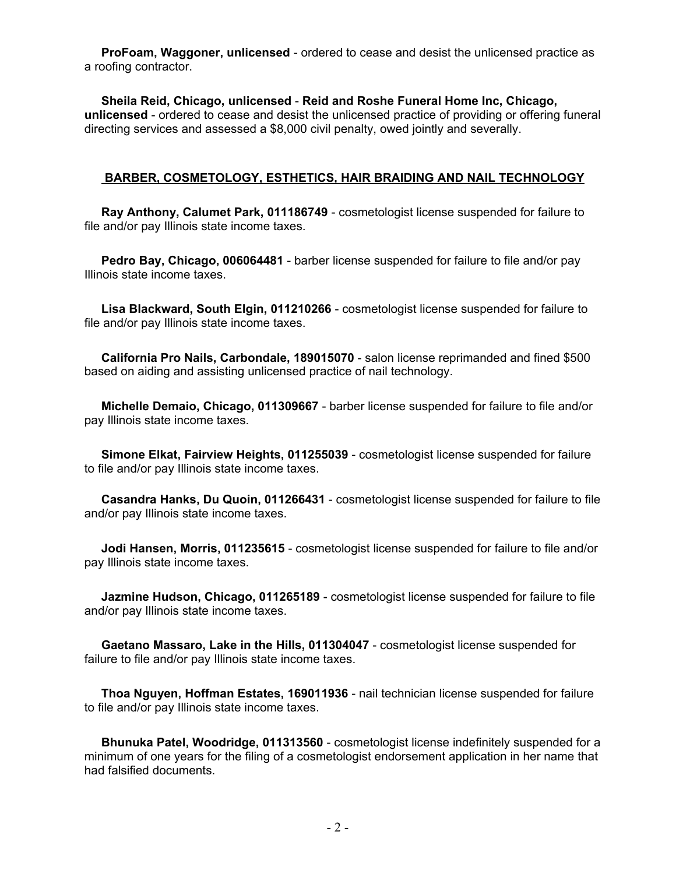**ProFoam, Waggoner, unlicensed** - ordered to cease and desist the unlicensed practice as a roofing contractor.

 **Sheila Reid, Chicago, unlicensed** - **Reid and Roshe Funeral Home Inc, Chicago, unlicensed** - ordered to cease and desist the unlicensed practice of providing or offering funeral directing services and assessed a \$8,000 civil penalty, owed jointly and severally.

#### **BARBER, COSMETOLOGY, ESTHETICS, HAIR BRAIDING AND NAIL TECHNOLOGY**

 **Ray Anthony, Calumet Park, 011186749** - cosmetologist license suspended for failure to file and/or pay Illinois state income taxes.

 **Pedro Bay, Chicago, 006064481** - barber license suspended for failure to file and/or pay Illinois state income taxes.

 **Lisa Blackward, South Elgin, 011210266** - cosmetologist license suspended for failure to file and/or pay Illinois state income taxes.

 **California Pro Nails, Carbondale, 189015070** - salon license reprimanded and fined \$500 based on aiding and assisting unlicensed practice of nail technology.

 **Michelle Demaio, Chicago, 011309667** - barber license suspended for failure to file and/or pay Illinois state income taxes.

 **Simone Elkat, Fairview Heights, 011255039** - cosmetologist license suspended for failure to file and/or pay Illinois state income taxes.

 **Casandra Hanks, Du Quoin, 011266431** - cosmetologist license suspended for failure to file and/or pay Illinois state income taxes.

 **Jodi Hansen, Morris, 011235615** - cosmetologist license suspended for failure to file and/or pay Illinois state income taxes.

 **Jazmine Hudson, Chicago, 011265189** - cosmetologist license suspended for failure to file and/or pay Illinois state income taxes.

 **Gaetano Massaro, Lake in the Hills, 011304047** - cosmetologist license suspended for failure to file and/or pay Illinois state income taxes.

 **Thoa Nguyen, Hoffman Estates, 169011936** - nail technician license suspended for failure to file and/or pay Illinois state income taxes.

 **Bhunuka Patel, Woodridge, 011313560** - cosmetologist license indefinitely suspended for a minimum of one years for the filing of a cosmetologist endorsement application in her name that had falsified documents.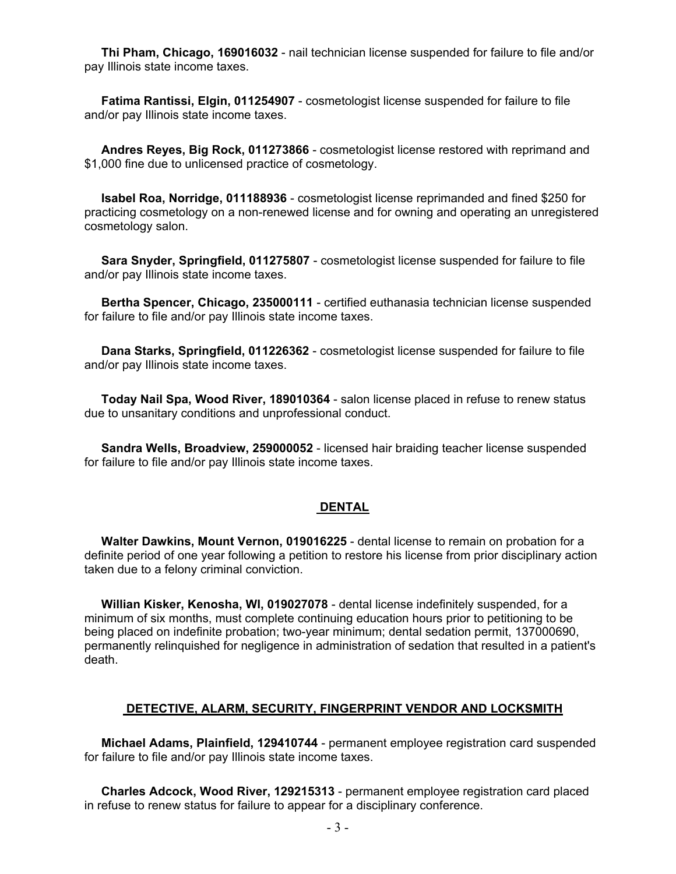**Thi Pham, Chicago, 169016032** - nail technician license suspended for failure to file and/or pay Illinois state income taxes.

 **Fatima Rantissi, Elgin, 011254907** - cosmetologist license suspended for failure to file and/or pay Illinois state income taxes.

 **Andres Reyes, Big Rock, 011273866** - cosmetologist license restored with reprimand and \$1,000 fine due to unlicensed practice of cosmetology.

 **Isabel Roa, Norridge, 011188936** - cosmetologist license reprimanded and fined \$250 for practicing cosmetology on a non-renewed license and for owning and operating an unregistered cosmetology salon.

 **Sara Snyder, Springfield, 011275807** - cosmetologist license suspended for failure to file and/or pay Illinois state income taxes.

 **Bertha Spencer, Chicago, 235000111** - certified euthanasia technician license suspended for failure to file and/or pay Illinois state income taxes.

 **Dana Starks, Springfield, 011226362** - cosmetologist license suspended for failure to file and/or pay Illinois state income taxes.

 **Today Nail Spa, Wood River, 189010364** - salon license placed in refuse to renew status due to unsanitary conditions and unprofessional conduct.

 **Sandra Wells, Broadview, 259000052** - licensed hair braiding teacher license suspended for failure to file and/or pay Illinois state income taxes.

#### **DENTAL**

 **Walter Dawkins, Mount Vernon, 019016225** - dental license to remain on probation for a definite period of one year following a petition to restore his license from prior disciplinary action taken due to a felony criminal conviction.

 **Willian Kisker, Kenosha, WI, 019027078** - dental license indefinitely suspended, for a minimum of six months, must complete continuing education hours prior to petitioning to be being placed on indefinite probation; two-year minimum; dental sedation permit, 137000690, permanently relinquished for negligence in administration of sedation that resulted in a patient's death.

#### **DETECTIVE, ALARM, SECURITY, FINGERPRINT VENDOR AND LOCKSMITH**

 **Michael Adams, Plainfield, 129410744** - permanent employee registration card suspended for failure to file and/or pay Illinois state income taxes.

 **Charles Adcock, Wood River, 129215313** - permanent employee registration card placed in refuse to renew status for failure to appear for a disciplinary conference.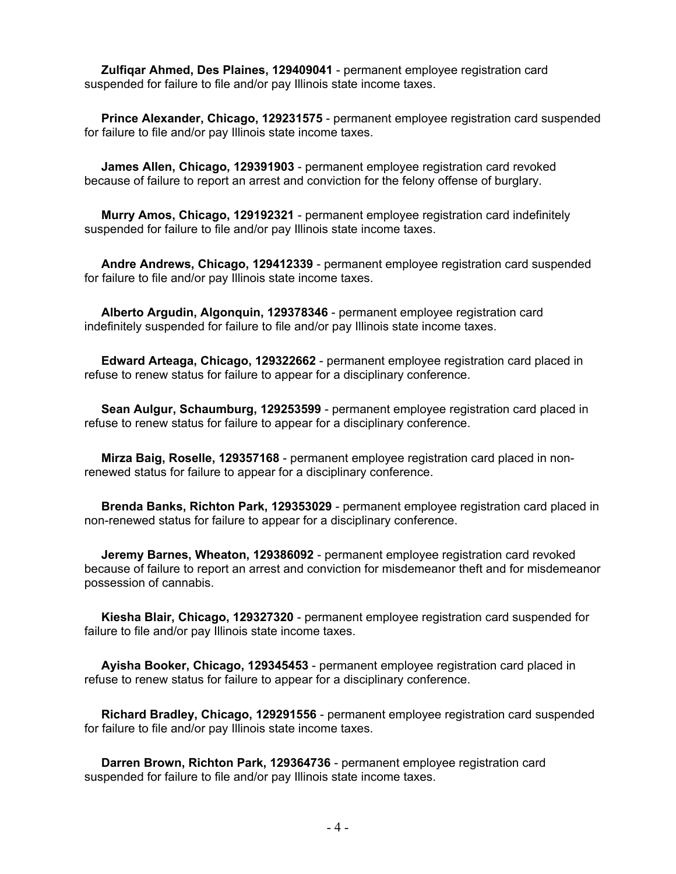**Zulfiqar Ahmed, Des Plaines, 129409041** - permanent employee registration card suspended for failure to file and/or pay Illinois state income taxes.

 **Prince Alexander, Chicago, 129231575** - permanent employee registration card suspended for failure to file and/or pay Illinois state income taxes.

 **James Allen, Chicago, 129391903** - permanent employee registration card revoked because of failure to report an arrest and conviction for the felony offense of burglary.

 **Murry Amos, Chicago, 129192321** - permanent employee registration card indefinitely suspended for failure to file and/or pay Illinois state income taxes.

 **Andre Andrews, Chicago, 129412339** - permanent employee registration card suspended for failure to file and/or pay Illinois state income taxes.

 **Alberto Argudin, Algonquin, 129378346** - permanent employee registration card indefinitely suspended for failure to file and/or pay Illinois state income taxes.

 **Edward Arteaga, Chicago, 129322662** - permanent employee registration card placed in refuse to renew status for failure to appear for a disciplinary conference.

 **Sean Aulgur, Schaumburg, 129253599** - permanent employee registration card placed in refuse to renew status for failure to appear for a disciplinary conference.

 **Mirza Baig, Roselle, 129357168** - permanent employee registration card placed in nonrenewed status for failure to appear for a disciplinary conference.

 **Brenda Banks, Richton Park, 129353029** - permanent employee registration card placed in non-renewed status for failure to appear for a disciplinary conference.

 **Jeremy Barnes, Wheaton, 129386092** - permanent employee registration card revoked because of failure to report an arrest and conviction for misdemeanor theft and for misdemeanor possession of cannabis.

 **Kiesha Blair, Chicago, 129327320** - permanent employee registration card suspended for failure to file and/or pay Illinois state income taxes.

 **Ayisha Booker, Chicago, 129345453** - permanent employee registration card placed in refuse to renew status for failure to appear for a disciplinary conference.

 **Richard Bradley, Chicago, 129291556** - permanent employee registration card suspended for failure to file and/or pay Illinois state income taxes.

 **Darren Brown, Richton Park, 129364736** - permanent employee registration card suspended for failure to file and/or pay Illinois state income taxes.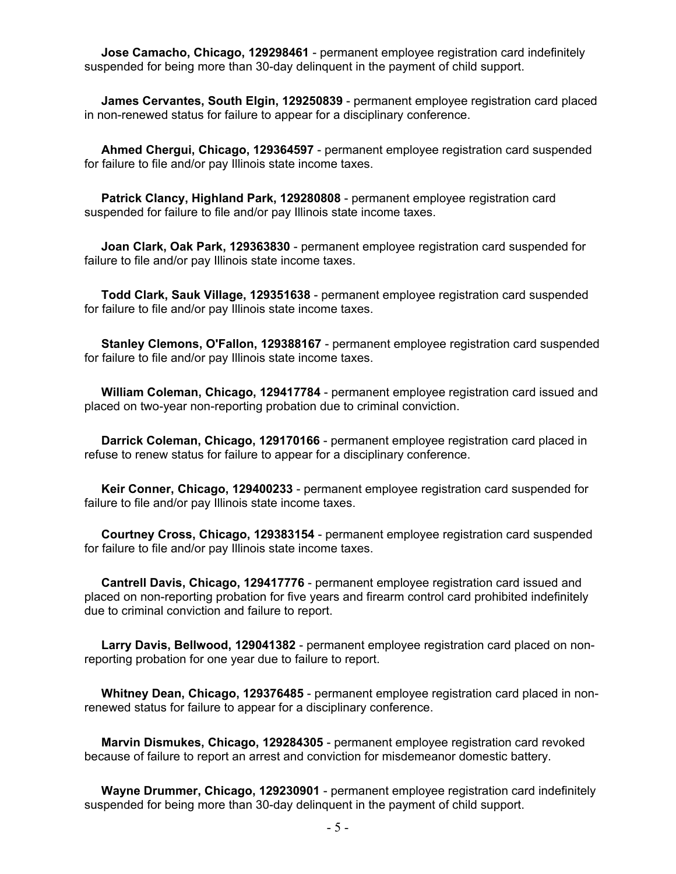**Jose Camacho, Chicago, 129298461** - permanent employee registration card indefinitely suspended for being more than 30-day delinquent in the payment of child support.

 **James Cervantes, South Elgin, 129250839** - permanent employee registration card placed in non-renewed status for failure to appear for a disciplinary conference.

 **Ahmed Chergui, Chicago, 129364597** - permanent employee registration card suspended for failure to file and/or pay Illinois state income taxes.

 **Patrick Clancy, Highland Park, 129280808** - permanent employee registration card suspended for failure to file and/or pay Illinois state income taxes.

 **Joan Clark, Oak Park, 129363830** - permanent employee registration card suspended for failure to file and/or pay Illinois state income taxes.

 **Todd Clark, Sauk Village, 129351638** - permanent employee registration card suspended for failure to file and/or pay Illinois state income taxes.

 **Stanley Clemons, O'Fallon, 129388167** - permanent employee registration card suspended for failure to file and/or pay Illinois state income taxes.

 **William Coleman, Chicago, 129417784** - permanent employee registration card issued and placed on two-year non-reporting probation due to criminal conviction.

 **Darrick Coleman, Chicago, 129170166** - permanent employee registration card placed in refuse to renew status for failure to appear for a disciplinary conference.

 **Keir Conner, Chicago, 129400233** - permanent employee registration card suspended for failure to file and/or pay Illinois state income taxes.

 **Courtney Cross, Chicago, 129383154** - permanent employee registration card suspended for failure to file and/or pay Illinois state income taxes.

 **Cantrell Davis, Chicago, 129417776** - permanent employee registration card issued and placed on non-reporting probation for five years and firearm control card prohibited indefinitely due to criminal conviction and failure to report.

 **Larry Davis, Bellwood, 129041382** - permanent employee registration card placed on nonreporting probation for one year due to failure to report.

 **Whitney Dean, Chicago, 129376485** - permanent employee registration card placed in nonrenewed status for failure to appear for a disciplinary conference.

 **Marvin Dismukes, Chicago, 129284305** - permanent employee registration card revoked because of failure to report an arrest and conviction for misdemeanor domestic battery.

 **Wayne Drummer, Chicago, 129230901** - permanent employee registration card indefinitely suspended for being more than 30-day delinquent in the payment of child support.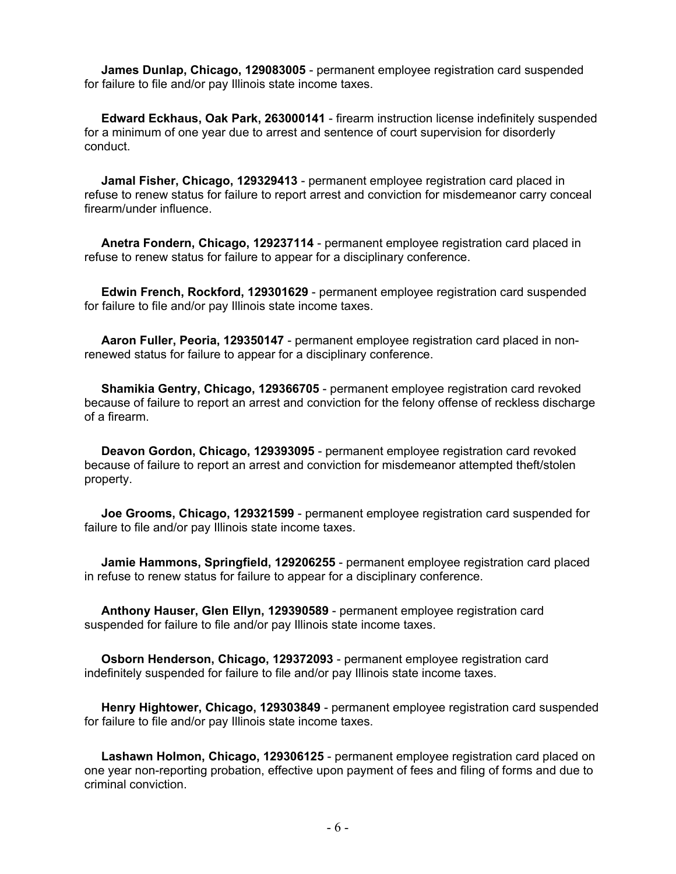**James Dunlap, Chicago, 129083005** - permanent employee registration card suspended for failure to file and/or pay Illinois state income taxes.

 **Edward Eckhaus, Oak Park, 263000141** - firearm instruction license indefinitely suspended for a minimum of one year due to arrest and sentence of court supervision for disorderly conduct.

 **Jamal Fisher, Chicago, 129329413** - permanent employee registration card placed in refuse to renew status for failure to report arrest and conviction for misdemeanor carry conceal firearm/under influence.

 **Anetra Fondern, Chicago, 129237114** - permanent employee registration card placed in refuse to renew status for failure to appear for a disciplinary conference.

 **Edwin French, Rockford, 129301629** - permanent employee registration card suspended for failure to file and/or pay Illinois state income taxes.

 **Aaron Fuller, Peoria, 129350147** - permanent employee registration card placed in nonrenewed status for failure to appear for a disciplinary conference.

 **Shamikia Gentry, Chicago, 129366705** - permanent employee registration card revoked because of failure to report an arrest and conviction for the felony offense of reckless discharge of a firearm.

 **Deavon Gordon, Chicago, 129393095** - permanent employee registration card revoked because of failure to report an arrest and conviction for misdemeanor attempted theft/stolen property.

 **Joe Grooms, Chicago, 129321599** - permanent employee registration card suspended for failure to file and/or pay Illinois state income taxes.

 **Jamie Hammons, Springfield, 129206255** - permanent employee registration card placed in refuse to renew status for failure to appear for a disciplinary conference.

 **Anthony Hauser, Glen Ellyn, 129390589** - permanent employee registration card suspended for failure to file and/or pay Illinois state income taxes.

 **Osborn Henderson, Chicago, 129372093** - permanent employee registration card indefinitely suspended for failure to file and/or pay Illinois state income taxes.

 **Henry Hightower, Chicago, 129303849** - permanent employee registration card suspended for failure to file and/or pay Illinois state income taxes.

 **Lashawn Holmon, Chicago, 129306125** - permanent employee registration card placed on one year non-reporting probation, effective upon payment of fees and filing of forms and due to criminal conviction.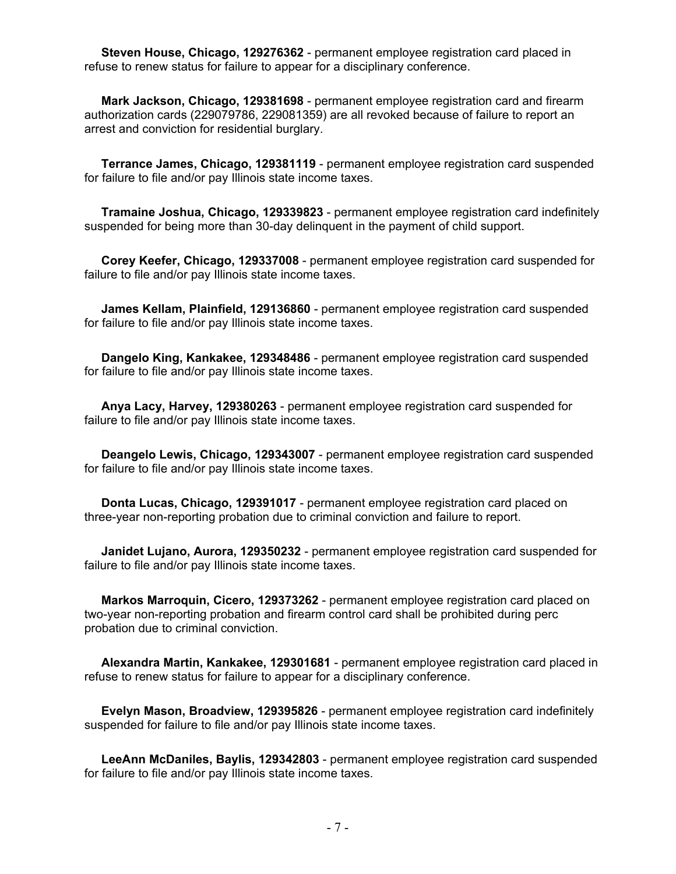**Steven House, Chicago, 129276362** - permanent employee registration card placed in refuse to renew status for failure to appear for a disciplinary conference.

 **Mark Jackson, Chicago, 129381698** - permanent employee registration card and firearm authorization cards (229079786, 229081359) are all revoked because of failure to report an arrest and conviction for residential burglary.

 **Terrance James, Chicago, 129381119** - permanent employee registration card suspended for failure to file and/or pay Illinois state income taxes.

 **Tramaine Joshua, Chicago, 129339823** - permanent employee registration card indefinitely suspended for being more than 30-day delinquent in the payment of child support.

 **Corey Keefer, Chicago, 129337008** - permanent employee registration card suspended for failure to file and/or pay Illinois state income taxes.

 **James Kellam, Plainfield, 129136860** - permanent employee registration card suspended for failure to file and/or pay Illinois state income taxes.

 **Dangelo King, Kankakee, 129348486** - permanent employee registration card suspended for failure to file and/or pay Illinois state income taxes.

 **Anya Lacy, Harvey, 129380263** - permanent employee registration card suspended for failure to file and/or pay Illinois state income taxes.

 **Deangelo Lewis, Chicago, 129343007** - permanent employee registration card suspended for failure to file and/or pay Illinois state income taxes.

 **Donta Lucas, Chicago, 129391017** - permanent employee registration card placed on three-year non-reporting probation due to criminal conviction and failure to report.

 **Janidet Lujano, Aurora, 129350232** - permanent employee registration card suspended for failure to file and/or pay Illinois state income taxes.

 **Markos Marroquin, Cicero, 129373262** - permanent employee registration card placed on two-year non-reporting probation and firearm control card shall be prohibited during perc probation due to criminal conviction.

 **Alexandra Martin, Kankakee, 129301681** - permanent employee registration card placed in refuse to renew status for failure to appear for a disciplinary conference.

 **Evelyn Mason, Broadview, 129395826** - permanent employee registration card indefinitely suspended for failure to file and/or pay Illinois state income taxes.

 **LeeAnn McDaniles, Baylis, 129342803** - permanent employee registration card suspended for failure to file and/or pay Illinois state income taxes.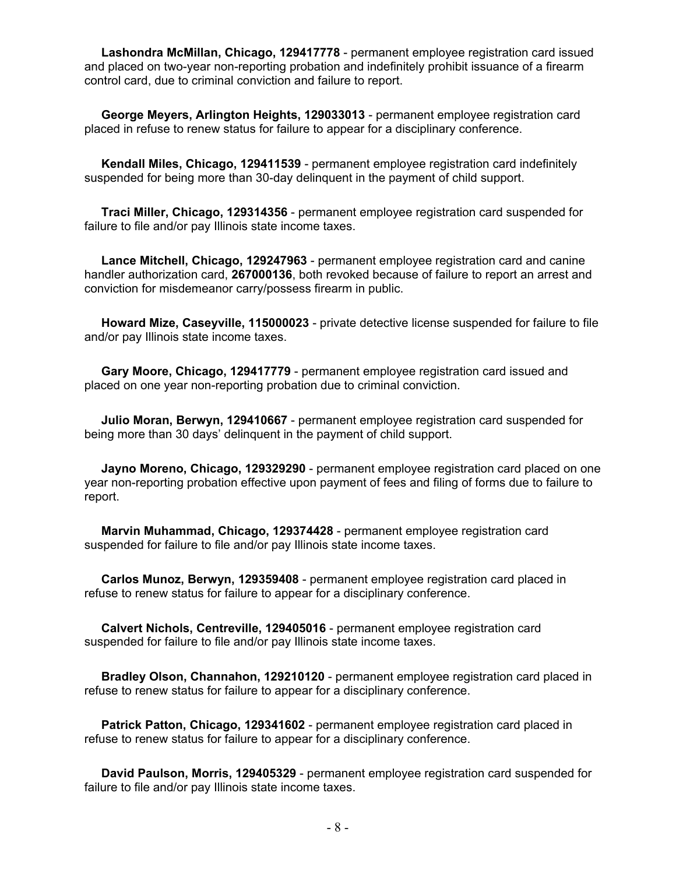**Lashondra McMillan, Chicago, 129417778** - permanent employee registration card issued and placed on two-year non-reporting probation and indefinitely prohibit issuance of a firearm control card, due to criminal conviction and failure to report.

 **George Meyers, Arlington Heights, 129033013** - permanent employee registration card placed in refuse to renew status for failure to appear for a disciplinary conference.

 **Kendall Miles, Chicago, 129411539** - permanent employee registration card indefinitely suspended for being more than 30-day delinquent in the payment of child support.

 **Traci Miller, Chicago, 129314356** - permanent employee registration card suspended for failure to file and/or pay Illinois state income taxes.

 **Lance Mitchell, Chicago, 129247963** - permanent employee registration card and canine handler authorization card, **267000136**, both revoked because of failure to report an arrest and conviction for misdemeanor carry/possess firearm in public.

 **Howard Mize, Caseyville, 115000023** - private detective license suspended for failure to file and/or pay Illinois state income taxes.

 **Gary Moore, Chicago, 129417779** - permanent employee registration card issued and placed on one year non-reporting probation due to criminal conviction.

 **Julio Moran, Berwyn, 129410667** - permanent employee registration card suspended for being more than 30 days' delinquent in the payment of child support.

 **Jayno Moreno, Chicago, 129329290** - permanent employee registration card placed on one year non-reporting probation effective upon payment of fees and filing of forms due to failure to report.

 **Marvin Muhammad, Chicago, 129374428** - permanent employee registration card suspended for failure to file and/or pay Illinois state income taxes.

 **Carlos Munoz, Berwyn, 129359408** - permanent employee registration card placed in refuse to renew status for failure to appear for a disciplinary conference.

 **Calvert Nichols, Centreville, 129405016** - permanent employee registration card suspended for failure to file and/or pay Illinois state income taxes.

 **Bradley Olson, Channahon, 129210120** - permanent employee registration card placed in refuse to renew status for failure to appear for a disciplinary conference.

 **Patrick Patton, Chicago, 129341602** - permanent employee registration card placed in refuse to renew status for failure to appear for a disciplinary conference.

 **David Paulson, Morris, 129405329** - permanent employee registration card suspended for failure to file and/or pay Illinois state income taxes.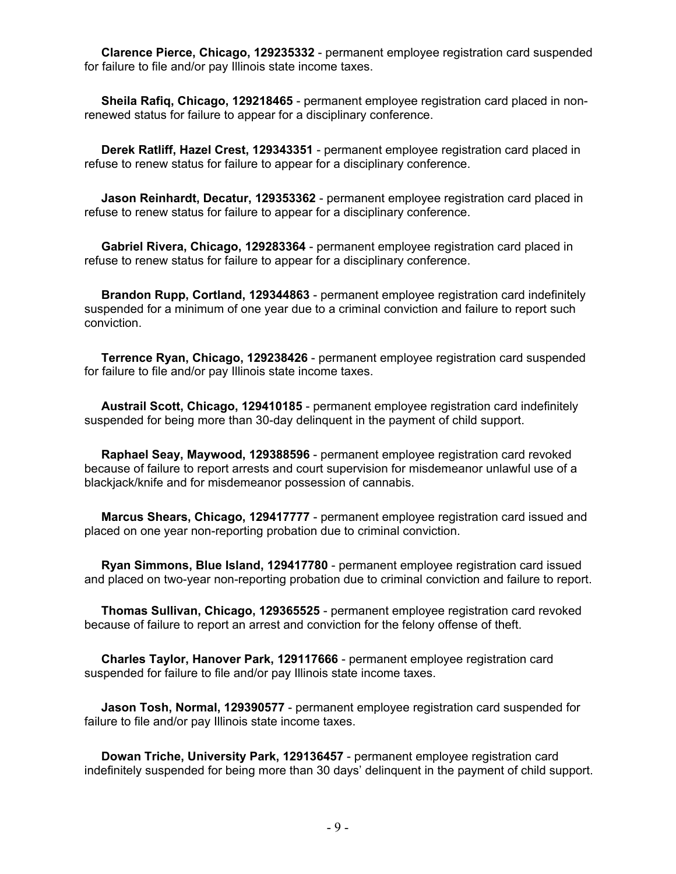**Clarence Pierce, Chicago, 129235332** - permanent employee registration card suspended for failure to file and/or pay Illinois state income taxes.

 **Sheila Rafiq, Chicago, 129218465** - permanent employee registration card placed in nonrenewed status for failure to appear for a disciplinary conference.

 **Derek Ratliff, Hazel Crest, 129343351** - permanent employee registration card placed in refuse to renew status for failure to appear for a disciplinary conference.

 **Jason Reinhardt, Decatur, 129353362** - permanent employee registration card placed in refuse to renew status for failure to appear for a disciplinary conference.

 **Gabriel Rivera, Chicago, 129283364** - permanent employee registration card placed in refuse to renew status for failure to appear for a disciplinary conference.

 **Brandon Rupp, Cortland, 129344863** - permanent employee registration card indefinitely suspended for a minimum of one year due to a criminal conviction and failure to report such conviction.

 **Terrence Ryan, Chicago, 129238426** - permanent employee registration card suspended for failure to file and/or pay Illinois state income taxes.

 **Austrail Scott, Chicago, 129410185** - permanent employee registration card indefinitely suspended for being more than 30-day delinquent in the payment of child support.

 **Raphael Seay, Maywood, 129388596** - permanent employee registration card revoked because of failure to report arrests and court supervision for misdemeanor unlawful use of a blackjack/knife and for misdemeanor possession of cannabis.

 **Marcus Shears, Chicago, 129417777** - permanent employee registration card issued and placed on one year non-reporting probation due to criminal conviction.

 **Ryan Simmons, Blue Island, 129417780** - permanent employee registration card issued and placed on two-year non-reporting probation due to criminal conviction and failure to report.

 **Thomas Sullivan, Chicago, 129365525** - permanent employee registration card revoked because of failure to report an arrest and conviction for the felony offense of theft.

 **Charles Taylor, Hanover Park, 129117666** - permanent employee registration card suspended for failure to file and/or pay Illinois state income taxes.

 **Jason Tosh, Normal, 129390577** - permanent employee registration card suspended for failure to file and/or pay Illinois state income taxes.

 **Dowan Triche, University Park, 129136457** - permanent employee registration card indefinitely suspended for being more than 30 days' delinquent in the payment of child support.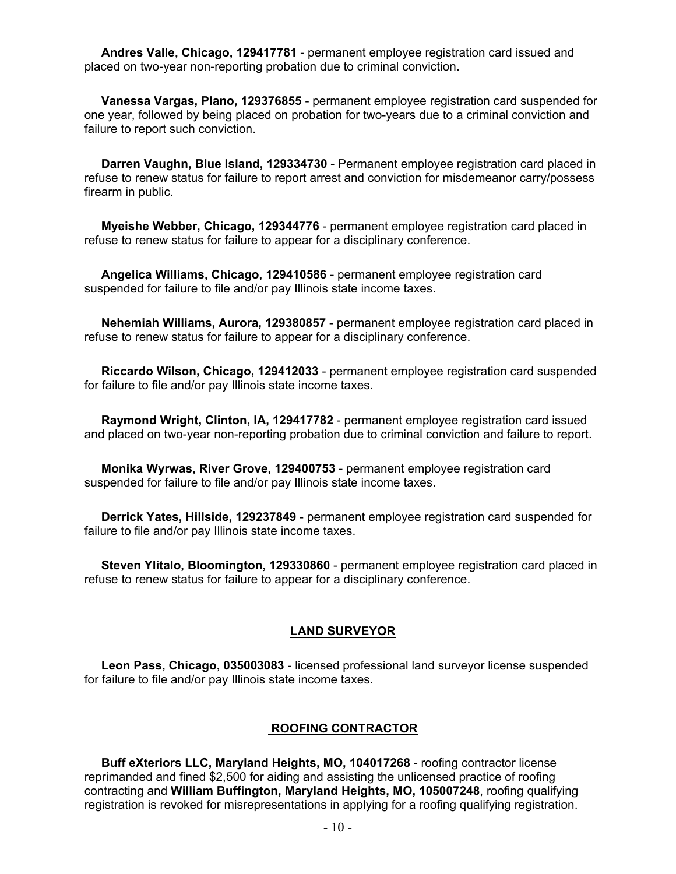**Andres Valle, Chicago, 129417781** - permanent employee registration card issued and placed on two-year non-reporting probation due to criminal conviction.

 **Vanessa Vargas, Plano, 129376855** - permanent employee registration card suspended for one year, followed by being placed on probation for two-years due to a criminal conviction and failure to report such conviction.

 **Darren Vaughn, Blue Island, 129334730** - Permanent employee registration card placed in refuse to renew status for failure to report arrest and conviction for misdemeanor carry/possess firearm in public.

 **Myeishe Webber, Chicago, 129344776** - permanent employee registration card placed in refuse to renew status for failure to appear for a disciplinary conference.

 **Angelica Williams, Chicago, 129410586** - permanent employee registration card suspended for failure to file and/or pay Illinois state income taxes.

 **Nehemiah Williams, Aurora, 129380857** - permanent employee registration card placed in refuse to renew status for failure to appear for a disciplinary conference.

 **Riccardo Wilson, Chicago, 129412033** - permanent employee registration card suspended for failure to file and/or pay Illinois state income taxes.

 **Raymond Wright, Clinton, IA, 129417782** - permanent employee registration card issued and placed on two-year non-reporting probation due to criminal conviction and failure to report.

 **Monika Wyrwas, River Grove, 129400753** - permanent employee registration card suspended for failure to file and/or pay Illinois state income taxes.

 **Derrick Yates, Hillside, 129237849** - permanent employee registration card suspended for failure to file and/or pay Illinois state income taxes.

 **Steven Ylitalo, Bloomington, 129330860** - permanent employee registration card placed in refuse to renew status for failure to appear for a disciplinary conference.

#### **LAND SURVEYOR**

 **Leon Pass, Chicago, 035003083** - licensed professional land surveyor license suspended for failure to file and/or pay Illinois state income taxes.

#### **ROOFING CONTRACTOR**

 **Buff eXteriors LLC, Maryland Heights, MO, 104017268** - roofing contractor license reprimanded and fined \$2,500 for aiding and assisting the unlicensed practice of roofing contracting and **William Buffington, Maryland Heights, MO, 105007248**, roofing qualifying registration is revoked for misrepresentations in applying for a roofing qualifying registration.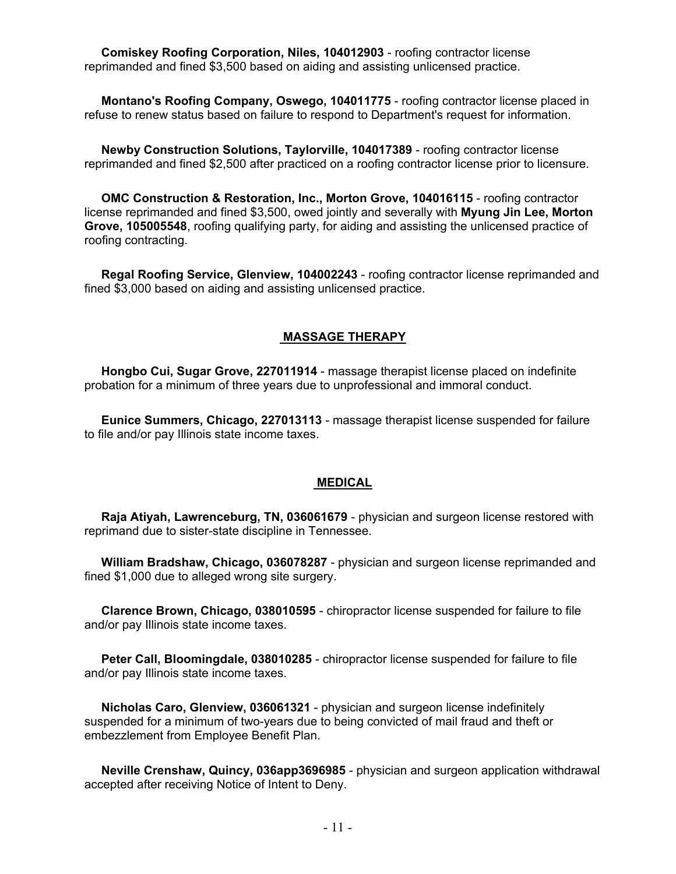**Comiskey Roofing Corporation, Niles, 104012903** - roofing contractor license reprimanded and fined \$3,500 based on aiding and assisting unlicensed practice.

 **Montano's Roofing Company, Oswego, 104011775** - roofing contractor license placed in refuse to renew status based on failure to respond to Department's request for information.

 **Newby Construction Solutions, Taylorville, 104017389** - roofing contractor license reprimanded and fined \$2,500 after practiced on a roofing contractor license prior to licensure.

 **OMC Construction & Restoration, Inc., Morton Grove, 104016115** - roofing contractor license reprimanded and fined \$3,500, owed jointly and severally with **Myung Jin Lee, Morton Grove, 105005548**, roofing qualifying party, for aiding and assisting the unlicensed practice of roofing contracting.

 **Regal Roofing Service, Glenview, 104002243** - roofing contractor license reprimanded and fined \$3,000 based on aiding and assisting unlicensed practice.

#### **MASSAGE THERAPY**

 **Hongbo Cui, Sugar Grove, 227011914** - massage therapist license placed on indefinite probation for a minimum of three years due to unprofessional and immoral conduct.

 **Eunice Summers, Chicago, 227013113** - massage therapist license suspended for failure to file and/or pay Illinois state income taxes.

#### **MEDICAL**

 **Raja Atiyah, Lawrenceburg, TN, 036061679** - physician and surgeon license restored with reprimand due to sister-state discipline in Tennessee.

 **William Bradshaw, Chicago, 036078287** - physician and surgeon license reprimanded and fined \$1,000 due to alleged wrong site surgery.

 **Clarence Brown, Chicago, 038010595** - chiropractor license suspended for failure to file and/or pay Illinois state income taxes.

 **Peter Call, Bloomingdale, 038010285** - chiropractor license suspended for failure to file and/or pay Illinois state income taxes.

 **Nicholas Caro, Glenview, 036061321** - physician and surgeon license indefinitely suspended for a minimum of two-years due to being convicted of mail fraud and theft or embezzlement from Employee Benefit Plan.

 **Neville Crenshaw, Quincy, 036app3696985** - physician and surgeon application withdrawal accepted after receiving Notice of Intent to Deny.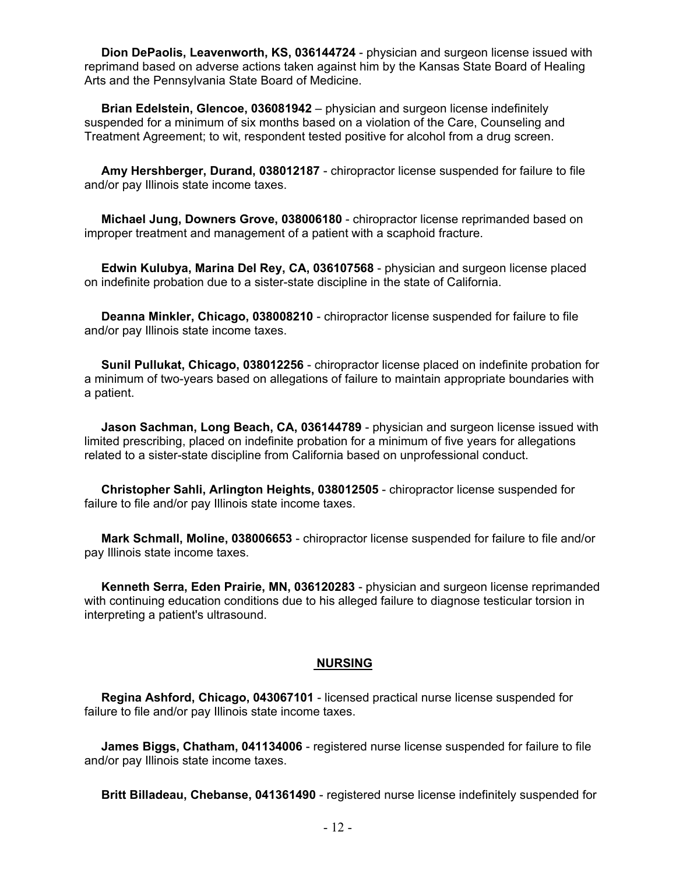**Dion DePaolis, Leavenworth, KS, 036144724** - physician and surgeon license issued with reprimand based on adverse actions taken against him by the Kansas State Board of Healing Arts and the Pennsylvania State Board of Medicine.

 **Brian Edelstein, Glencoe, 036081942** – physician and surgeon license indefinitely suspended for a minimum of six months based on a violation of the Care, Counseling and Treatment Agreement; to wit, respondent tested positive for alcohol from a drug screen.

 **Amy Hershberger, Durand, 038012187** - chiropractor license suspended for failure to file and/or pay Illinois state income taxes.

 **Michael Jung, Downers Grove, 038006180** - chiropractor license reprimanded based on improper treatment and management of a patient with a scaphoid fracture.

 **Edwin Kulubya, Marina Del Rey, CA, 036107568** - physician and surgeon license placed on indefinite probation due to a sister-state discipline in the state of California.

 **Deanna Minkler, Chicago, 038008210** - chiropractor license suspended for failure to file and/or pay Illinois state income taxes.

 **Sunil Pullukat, Chicago, 038012256** - chiropractor license placed on indefinite probation for a minimum of two-years based on allegations of failure to maintain appropriate boundaries with a patient.

 **Jason Sachman, Long Beach, CA, 036144789** - physician and surgeon license issued with limited prescribing, placed on indefinite probation for a minimum of five years for allegations related to a sister-state discipline from California based on unprofessional conduct.

 **Christopher Sahli, Arlington Heights, 038012505** - chiropractor license suspended for failure to file and/or pay Illinois state income taxes.

 **Mark Schmall, Moline, 038006653** - chiropractor license suspended for failure to file and/or pay Illinois state income taxes.

 **Kenneth Serra, Eden Prairie, MN, 036120283** - physician and surgeon license reprimanded with continuing education conditions due to his alleged failure to diagnose testicular torsion in interpreting a patient's ultrasound.

#### **NURSING**

 **Regina Ashford, Chicago, 043067101** - licensed practical nurse license suspended for failure to file and/or pay Illinois state income taxes.

 **James Biggs, Chatham, 041134006** - registered nurse license suspended for failure to file and/or pay Illinois state income taxes.

**Britt Billadeau, Chebanse, 041361490** - registered nurse license indefinitely suspended for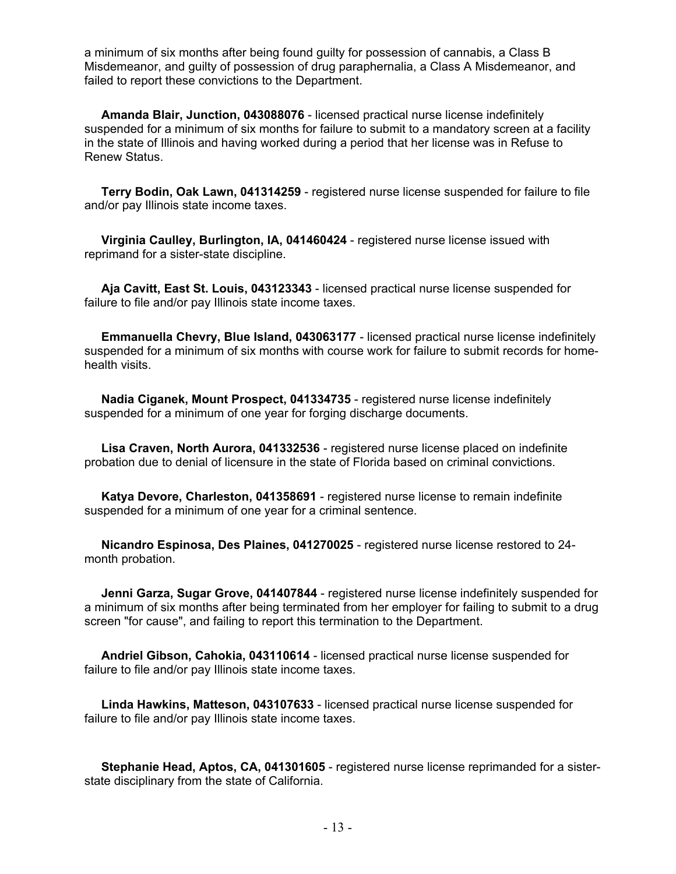a minimum of six months after being found guilty for possession of cannabis, a Class B Misdemeanor, and guilty of possession of drug paraphernalia, a Class A Misdemeanor, and failed to report these convictions to the Department.

 **Amanda Blair, Junction, 043088076** - licensed practical nurse license indefinitely suspended for a minimum of six months for failure to submit to a mandatory screen at a facility in the state of Illinois and having worked during a period that her license was in Refuse to Renew Status.

 **Terry Bodin, Oak Lawn, 041314259** - registered nurse license suspended for failure to file and/or pay Illinois state income taxes.

 **Virginia Caulley, Burlington, IA, 041460424** - registered nurse license issued with reprimand for a sister-state discipline.

 **Aja Cavitt, East St. Louis, 043123343** - licensed practical nurse license suspended for failure to file and/or pay Illinois state income taxes.

 **Emmanuella Chevry, Blue Island, 043063177** - licensed practical nurse license indefinitely suspended for a minimum of six months with course work for failure to submit records for homehealth visits.

 **Nadia Ciganek, Mount Prospect, 041334735** - registered nurse license indefinitely suspended for a minimum of one year for forging discharge documents.

 **Lisa Craven, North Aurora, 041332536** - registered nurse license placed on indefinite probation due to denial of licensure in the state of Florida based on criminal convictions.

 **Katya Devore, Charleston, 041358691** - registered nurse license to remain indefinite suspended for a minimum of one year for a criminal sentence.

 **Nicandro Espinosa, Des Plaines, 041270025** - registered nurse license restored to 24 month probation.

 **Jenni Garza, Sugar Grove, 041407844** - registered nurse license indefinitely suspended for a minimum of six months after being terminated from her employer for failing to submit to a drug screen "for cause", and failing to report this termination to the Department.

 **Andriel Gibson, Cahokia, 043110614** - licensed practical nurse license suspended for failure to file and/or pay Illinois state income taxes.

 **Linda Hawkins, Matteson, 043107633** - licensed practical nurse license suspended for failure to file and/or pay Illinois state income taxes.

 **Stephanie Head, Aptos, CA, 041301605** - registered nurse license reprimanded for a sisterstate disciplinary from the state of California.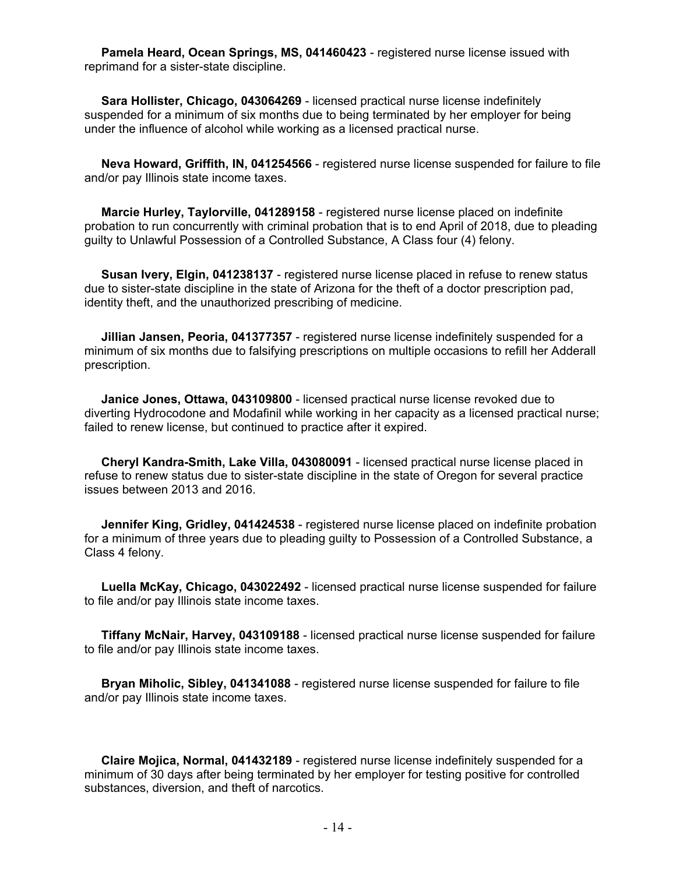**Pamela Heard, Ocean Springs, MS, 041460423** - registered nurse license issued with reprimand for a sister-state discipline.

 **Sara Hollister, Chicago, 043064269** - licensed practical nurse license indefinitely suspended for a minimum of six months due to being terminated by her employer for being under the influence of alcohol while working as a licensed practical nurse.

 **Neva Howard, Griffith, IN, 041254566** - registered nurse license suspended for failure to file and/or pay Illinois state income taxes.

 **Marcie Hurley, Taylorville, 041289158** - registered nurse license placed on indefinite probation to run concurrently with criminal probation that is to end April of 2018, due to pleading guilty to Unlawful Possession of a Controlled Substance, A Class four (4) felony.

 **Susan Ivery, Elgin, 041238137** - registered nurse license placed in refuse to renew status due to sister-state discipline in the state of Arizona for the theft of a doctor prescription pad, identity theft, and the unauthorized prescribing of medicine.

 **Jillian Jansen, Peoria, 041377357** - registered nurse license indefinitely suspended for a minimum of six months due to falsifying prescriptions on multiple occasions to refill her Adderall prescription.

 **Janice Jones, Ottawa, 043109800** - licensed practical nurse license revoked due to diverting Hydrocodone and Modafinil while working in her capacity as a licensed practical nurse; failed to renew license, but continued to practice after it expired.

 **Cheryl Kandra-Smith, Lake Villa, 043080091** - licensed practical nurse license placed in refuse to renew status due to sister-state discipline in the state of Oregon for several practice issues between 2013 and 2016.

 **Jennifer King, Gridley, 041424538** - registered nurse license placed on indefinite probation for a minimum of three years due to pleading guilty to Possession of a Controlled Substance, a Class 4 felony.

 **Luella McKay, Chicago, 043022492** - licensed practical nurse license suspended for failure to file and/or pay Illinois state income taxes.

 **Tiffany McNair, Harvey, 043109188** - licensed practical nurse license suspended for failure to file and/or pay Illinois state income taxes.

 **Bryan Miholic, Sibley, 041341088** - registered nurse license suspended for failure to file and/or pay Illinois state income taxes.

 **Claire Mojica, Normal, 041432189** - registered nurse license indefinitely suspended for a minimum of 30 days after being terminated by her employer for testing positive for controlled substances, diversion, and theft of narcotics.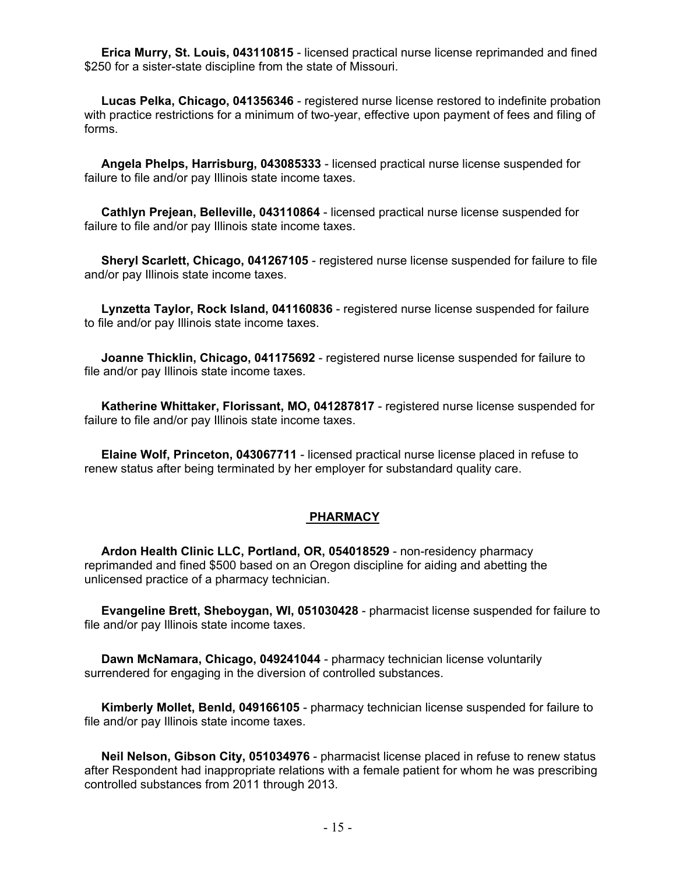**Erica Murry, St. Louis, 043110815** - licensed practical nurse license reprimanded and fined \$250 for a sister-state discipline from the state of Missouri.

 **Lucas Pelka, Chicago, 041356346** - registered nurse license restored to indefinite probation with practice restrictions for a minimum of two-year, effective upon payment of fees and filing of forms.

 **Angela Phelps, Harrisburg, 043085333** - licensed practical nurse license suspended for failure to file and/or pay Illinois state income taxes.

 **Cathlyn Prejean, Belleville, 043110864** - licensed practical nurse license suspended for failure to file and/or pay Illinois state income taxes.

 **Sheryl Scarlett, Chicago, 041267105** - registered nurse license suspended for failure to file and/or pay Illinois state income taxes.

 **Lynzetta Taylor, Rock Island, 041160836** - registered nurse license suspended for failure to file and/or pay Illinois state income taxes.

 **Joanne Thicklin, Chicago, 041175692** - registered nurse license suspended for failure to file and/or pay Illinois state income taxes.

 **Katherine Whittaker, Florissant, MO, 041287817** - registered nurse license suspended for failure to file and/or pay Illinois state income taxes.

 **Elaine Wolf, Princeton, 043067711** - licensed practical nurse license placed in refuse to renew status after being terminated by her employer for substandard quality care.

#### **PHARMACY**

 **Ardon Health Clinic LLC, Portland, OR, 054018529** - non-residency pharmacy reprimanded and fined \$500 based on an Oregon discipline for aiding and abetting the unlicensed practice of a pharmacy technician.

 **Evangeline Brett, Sheboygan, WI, 051030428** - pharmacist license suspended for failure to file and/or pay Illinois state income taxes.

 **Dawn McNamara, Chicago, 049241044** - pharmacy technician license voluntarily surrendered for engaging in the diversion of controlled substances.

 **Kimberly Mollet, Benld, 049166105** - pharmacy technician license suspended for failure to file and/or pay Illinois state income taxes.

 **Neil Nelson, Gibson City, 051034976** - pharmacist license placed in refuse to renew status after Respondent had inappropriate relations with a female patient for whom he was prescribing controlled substances from 2011 through 2013.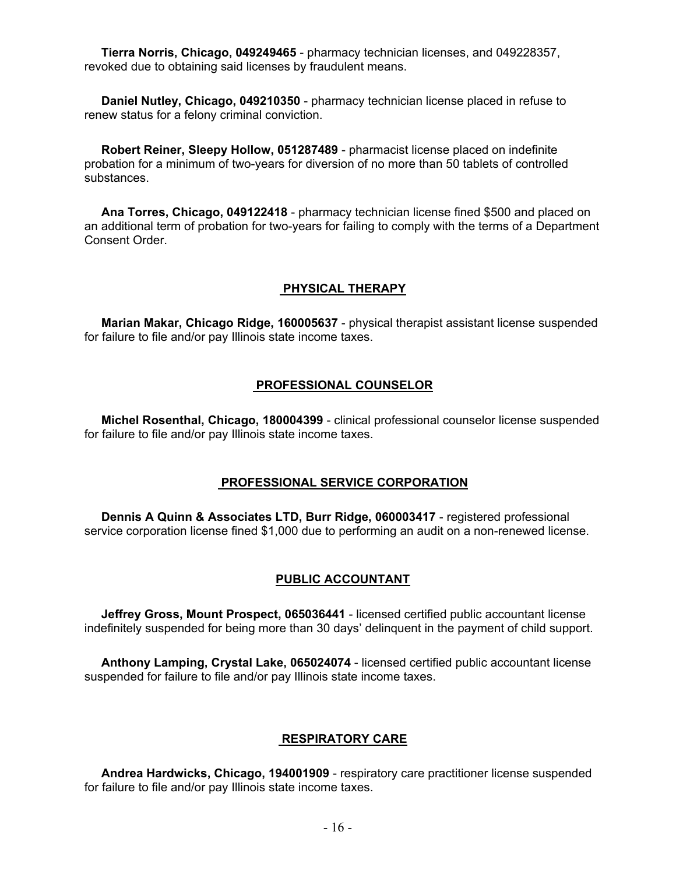**Tierra Norris, Chicago, 049249465** - pharmacy technician licenses, and 049228357, revoked due to obtaining said licenses by fraudulent means.

 **Daniel Nutley, Chicago, 049210350** - pharmacy technician license placed in refuse to renew status for a felony criminal conviction.

 **Robert Reiner, Sleepy Hollow, 051287489** - pharmacist license placed on indefinite probation for a minimum of two-years for diversion of no more than 50 tablets of controlled substances.

 **Ana Torres, Chicago, 049122418** - pharmacy technician license fined \$500 and placed on an additional term of probation for two-years for failing to comply with the terms of a Department Consent Order.

#### **PHYSICAL THERAPY**

 **Marian Makar, Chicago Ridge, 160005637** - physical therapist assistant license suspended for failure to file and/or pay Illinois state income taxes.

#### **PROFESSIONAL COUNSELOR**

 **Michel Rosenthal, Chicago, 180004399** - clinical professional counselor license suspended for failure to file and/or pay Illinois state income taxes.

#### **PROFESSIONAL SERVICE CORPORATION**

 **Dennis A Quinn & Associates LTD, Burr Ridge, 060003417** - registered professional service corporation license fined \$1,000 due to performing an audit on a non-renewed license.

#### **PUBLIC ACCOUNTANT**

 **Jeffrey Gross, Mount Prospect, 065036441** - licensed certified public accountant license indefinitely suspended for being more than 30 days' delinquent in the payment of child support.

 **Anthony Lamping, Crystal Lake, 065024074** - licensed certified public accountant license suspended for failure to file and/or pay Illinois state income taxes.

#### **RESPIRATORY CARE**

 **Andrea Hardwicks, Chicago, 194001909** - respiratory care practitioner license suspended for failure to file and/or pay Illinois state income taxes.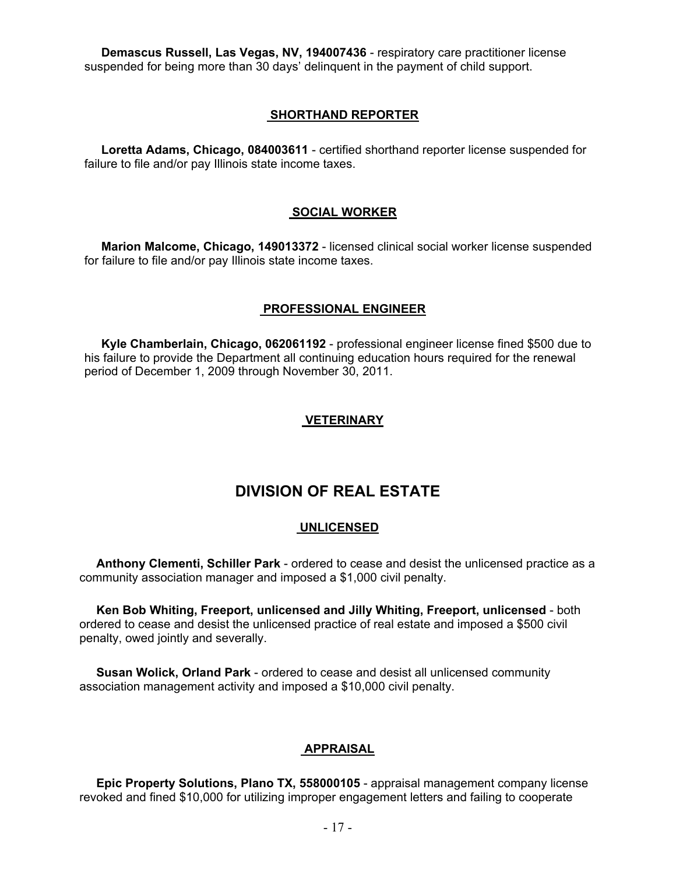**Demascus Russell, Las Vegas, NV, 194007436** - respiratory care practitioner license suspended for being more than 30 days' delinquent in the payment of child support.

#### **SHORTHAND REPORTER**

 **Loretta Adams, Chicago, 084003611** - certified shorthand reporter license suspended for failure to file and/or pay Illinois state income taxes.

#### **SOCIAL WORKER**

 **Marion Malcome, Chicago, 149013372** - licensed clinical social worker license suspended for failure to file and/or pay Illinois state income taxes.

#### **PROFESSIONAL ENGINEER**

 **Kyle Chamberlain, Chicago, 062061192** - professional engineer license fined \$500 due to his failure to provide the Department all continuing education hours required for the renewal period of December 1, 2009 through November 30, 2011.

#### **VETERINARY**

# **DIVISION OF REAL ESTATE**

#### **UNLICENSED**

 **Anthony Clementi, Schiller Park** - ordered to cease and desist the unlicensed practice as a community association manager and imposed a \$1,000 civil penalty.

 **Ken Bob Whiting, Freeport, unlicensed and Jilly Whiting, Freeport, unlicensed** - both ordered to cease and desist the unlicensed practice of real estate and imposed a \$500 civil penalty, owed jointly and severally.

 **Susan Wolick, Orland Park** - ordered to cease and desist all unlicensed community association management activity and imposed a \$10,000 civil penalty.

#### **APPRAISAL**

 **Epic Property Solutions, Plano TX, 558000105** - appraisal management company license revoked and fined \$10,000 for utilizing improper engagement letters and failing to cooperate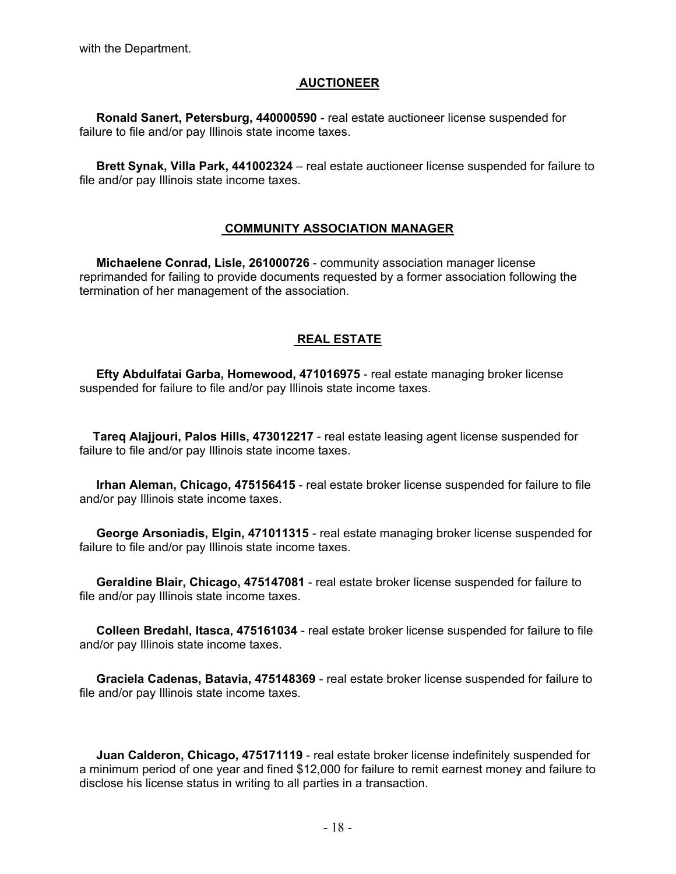with the Department.

### **AUCTIONEER**

 **Ronald Sanert, Petersburg, 440000590** - real estate auctioneer license suspended for failure to file and/or pay Illinois state income taxes.

 **Brett Synak, Villa Park, 441002324** – real estate auctioneer license suspended for failure to file and/or pay Illinois state income taxes.

#### **COMMUNITY ASSOCIATION MANAGER**

 **Michaelene Conrad, Lisle, 261000726** - community association manager license reprimanded for failing to provide documents requested by a former association following the termination of her management of the association.

## **REAL ESTATE**

 **Efty Abdulfatai Garba, Homewood, 471016975** - real estate managing broker license suspended for failure to file and/or pay Illinois state income taxes.

 **Tareq Alajjouri, Palos Hills, 473012217** - real estate leasing agent license suspended for failure to file and/or pay Illinois state income taxes.

 **Irhan Aleman, Chicago, 475156415** - real estate broker license suspended for failure to file and/or pay Illinois state income taxes.

 **George Arsoniadis, Elgin, 471011315** - real estate managing broker license suspended for failure to file and/or pay Illinois state income taxes.

 **Geraldine Blair, Chicago, 475147081** - real estate broker license suspended for failure to file and/or pay Illinois state income taxes.

 **Colleen Bredahl, Itasca, 475161034** - real estate broker license suspended for failure to file and/or pay Illinois state income taxes.

 **Graciela Cadenas, Batavia, 475148369** - real estate broker license suspended for failure to file and/or pay Illinois state income taxes.

 **Juan Calderon, Chicago, 475171119** - real estate broker license indefinitely suspended for a minimum period of one year and fined \$12,000 for failure to remit earnest money and failure to disclose his license status in writing to all parties in a transaction.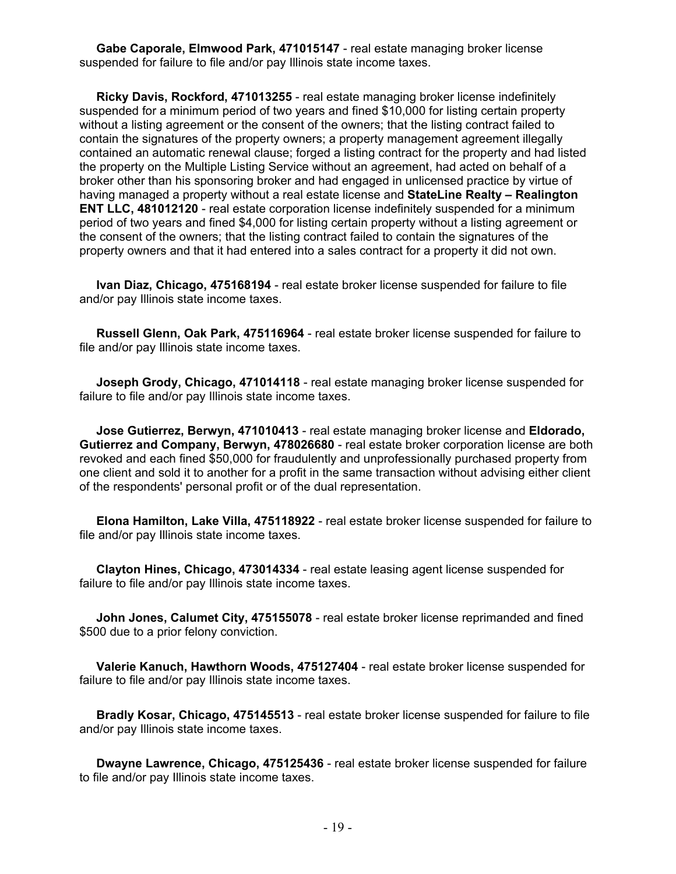**Gabe Caporale, Elmwood Park, 471015147** - real estate managing broker license suspended for failure to file and/or pay Illinois state income taxes.

 **Ricky Davis, Rockford, 471013255** - real estate managing broker license indefinitely suspended for a minimum period of two years and fined \$10,000 for listing certain property without a listing agreement or the consent of the owners; that the listing contract failed to contain the signatures of the property owners; a property management agreement illegally contained an automatic renewal clause; forged a listing contract for the property and had listed the property on the Multiple Listing Service without an agreement, had acted on behalf of a broker other than his sponsoring broker and had engaged in unlicensed practice by virtue of having managed a property without a real estate license and **StateLine Realty – Realington ENT LLC, 481012120** - real estate corporation license indefinitely suspended for a minimum period of two years and fined \$4,000 for listing certain property without a listing agreement or the consent of the owners; that the listing contract failed to contain the signatures of the property owners and that it had entered into a sales contract for a property it did not own.

 **Ivan Diaz, Chicago, 475168194** - real estate broker license suspended for failure to file and/or pay Illinois state income taxes.

 **Russell Glenn, Oak Park, 475116964** - real estate broker license suspended for failure to file and/or pay Illinois state income taxes.

 **Joseph Grody, Chicago, 471014118** - real estate managing broker license suspended for failure to file and/or pay Illinois state income taxes.

 **Jose Gutierrez, Berwyn, 471010413** - real estate managing broker license and **Eldorado, Gutierrez and Company, Berwyn, 478026680** - real estate broker corporation license are both revoked and each fined \$50,000 for fraudulently and unprofessionally purchased property from one client and sold it to another for a profit in the same transaction without advising either client of the respondents' personal profit or of the dual representation.

 **Elona Hamilton, Lake Villa, 475118922** - real estate broker license suspended for failure to file and/or pay Illinois state income taxes.

 **Clayton Hines, Chicago, 473014334** - real estate leasing agent license suspended for failure to file and/or pay Illinois state income taxes.

 **John Jones, Calumet City, 475155078** - real estate broker license reprimanded and fined \$500 due to a prior felony conviction.

 **Valerie Kanuch, Hawthorn Woods, 475127404** - real estate broker license suspended for failure to file and/or pay Illinois state income taxes.

 **Bradly Kosar, Chicago, 475145513** - real estate broker license suspended for failure to file and/or pay Illinois state income taxes.

 **Dwayne Lawrence, Chicago, 475125436** - real estate broker license suspended for failure to file and/or pay Illinois state income taxes.